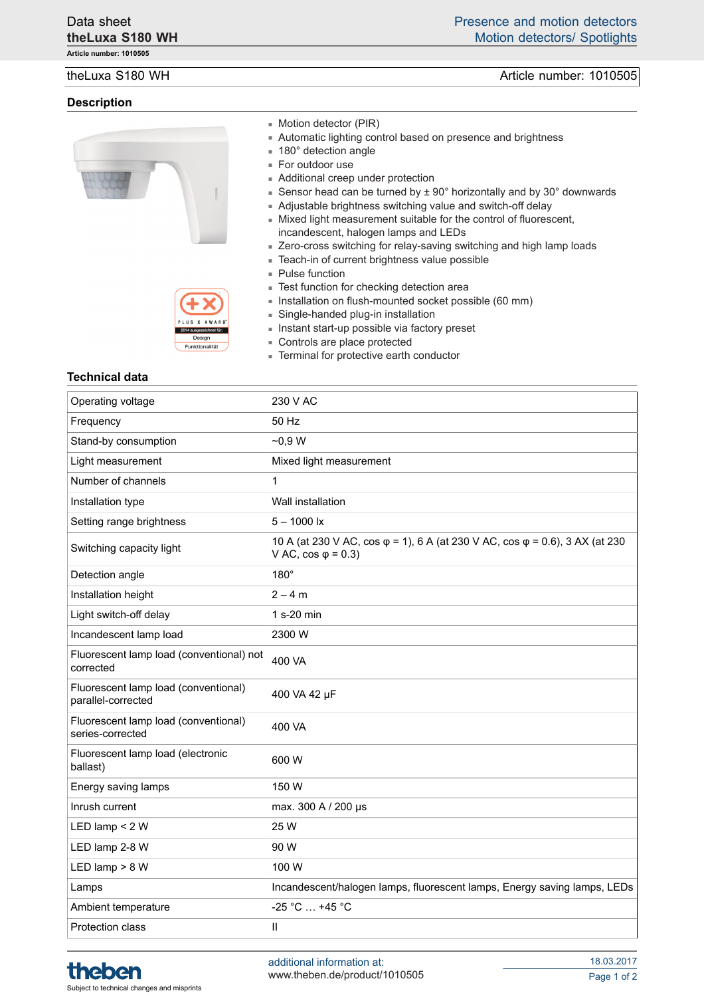**Article number: 1010505**

### **Description**





- Motion detector (PIR)
- Automatic lighting control based on presence and brightness
- 180° detection angle
- For outdoor use
- Additional creep under protection
- Sensor head can be turned by  $± 90^\circ$  horizontally and by 30 $^\circ$  downwards
- Adjustable brightness switching value and switch-off delay
- Mixed light measurement suitable for the control of fluorescent, incandescent, halogen lamps and LEDs
- Zero-cross switching for relay-saving switching and high lamp loads
- Teach-in of current brightness value possible
- Pulse function
- Test function for checking detection area
- Installation on flush-mounted socket possible (60 mm)
- Single-handed plug-in installation
- Instant start-up possible via factory preset
- Controls are place protected
- Terminal for protective earth conductor

### **Technical data**

| Operating voltage                                          | 230 V AC                                                                                                   |
|------------------------------------------------------------|------------------------------------------------------------------------------------------------------------|
| Frequency                                                  | 50 Hz                                                                                                      |
| Stand-by consumption                                       | $-0.9 W$                                                                                                   |
| Light measurement                                          | Mixed light measurement                                                                                    |
| Number of channels                                         | 1                                                                                                          |
| Installation type                                          | Wall installation                                                                                          |
| Setting range brightness                                   | $5 - 1000$ lx                                                                                              |
| Switching capacity light                                   | 10 A (at 230 V AC, cos φ = 1), 6 A (at 230 V AC, cos φ = 0.6), 3 AX (at 230<br>V AC, $cos \varphi = 0.3$ ) |
| Detection angle                                            | $180^\circ$                                                                                                |
| Installation height                                        | $2 - 4 m$                                                                                                  |
| Light switch-off delay                                     | 1 s-20 min                                                                                                 |
| Incandescent lamp load                                     | 2300 W                                                                                                     |
| Fluorescent lamp load (conventional) not<br>corrected      | 400 VA                                                                                                     |
| Fluorescent lamp load (conventional)<br>parallel-corrected | 400 VA 42 µF                                                                                               |
| Fluorescent lamp load (conventional)<br>series-corrected   | 400 VA                                                                                                     |
| Fluorescent lamp load (electronic<br>ballast)              | 600 W                                                                                                      |
| Energy saving lamps                                        | 150 W                                                                                                      |
| Inrush current                                             | max. 300 A / 200 µs                                                                                        |
| LED lamp $<$ 2 W                                           | 25 W                                                                                                       |
| LED lamp 2-8 W                                             | 90 W                                                                                                       |
| LED lamp $> 8 W$                                           | 100 W                                                                                                      |
| Lamps                                                      | Incandescent/halogen lamps, fluorescent lamps, Energy saving lamps, LEDs                                   |
| Ambient temperature                                        | $-25 °C  +45 °C$                                                                                           |
| <b>Protection class</b>                                    | Ш                                                                                                          |



theLuxa S180 WH **Article number: 1010505**